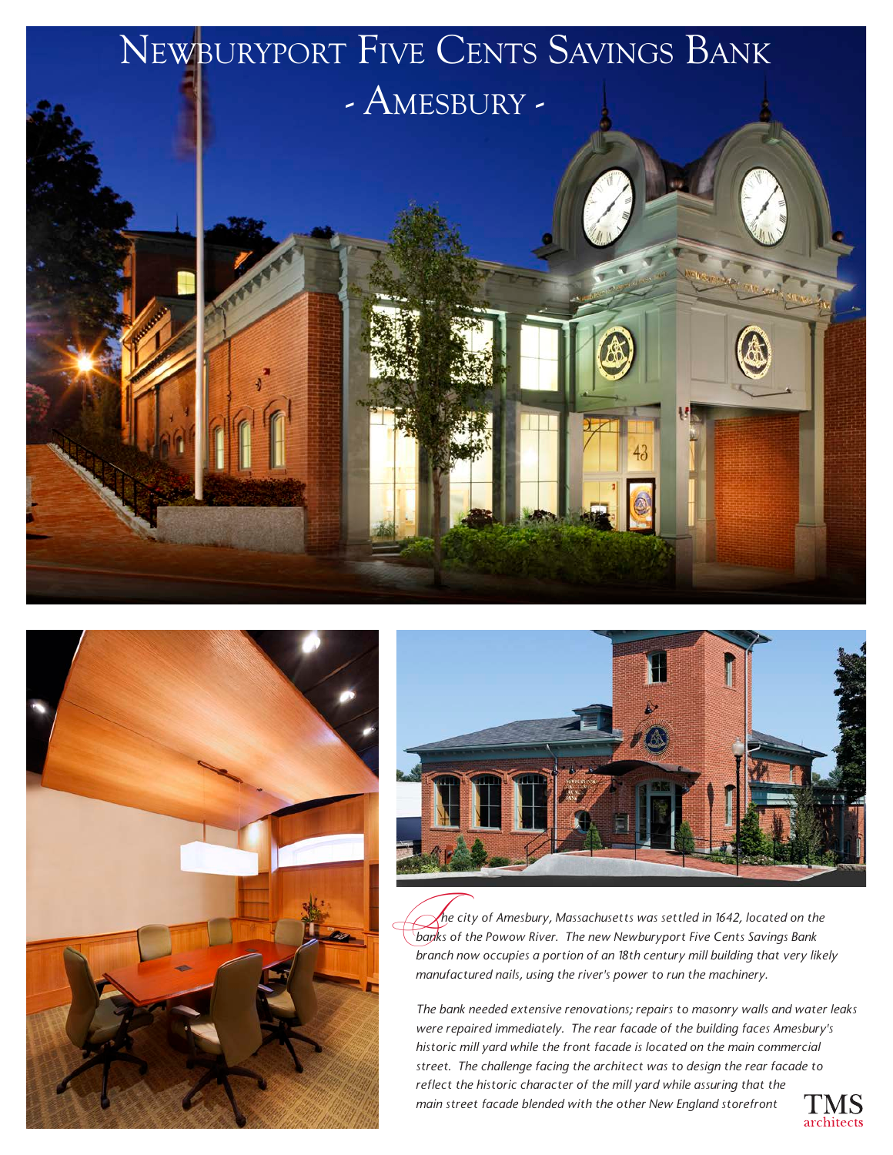





 *he city of Amesbury, Massachusetts was settled in 1642, located on the*  **he city of Amesbury, Massachusetts was settled in 1642, located on th<br>banks of the Powow River. The new Newburyport Five Cents Savings Bank** *branch now occupies a portion of an 18th century mill building that very likely manufactured nails, using the river's power to run the machinery.*

*The bank needed extensive renovations; repairs to masonry walls and water leaks were repaired immediately. The rear facade of the building faces Amesbury's historic mill yard while the front facade is located on the main commercial street. The challenge facing the architect was to design the rear facade to reflect the historic character of the mill yard while assuring that the main street facade blended with the other New England storefront*